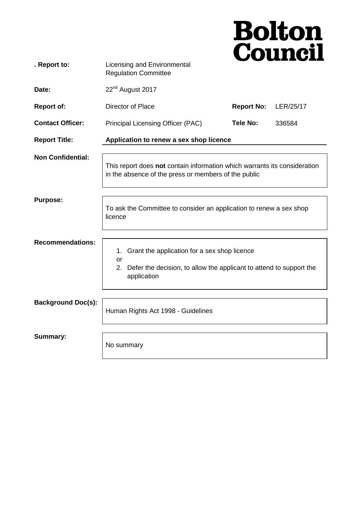|                           |                                                                                                                                                      |                   | <b>Bolton<br/>Council</b> |
|---------------------------|------------------------------------------------------------------------------------------------------------------------------------------------------|-------------------|---------------------------|
| . Report to:              | Licensing and Environmental<br><b>Regulation Committee</b>                                                                                           |                   |                           |
| Date:                     | 22 <sup>nd</sup> August 2017                                                                                                                         |                   |                           |
| <b>Report of:</b>         | Director of Place                                                                                                                                    | <b>Report No:</b> | LER/25/17                 |
| <b>Contact Officer:</b>   | Principal Licensing Officer (PAC)                                                                                                                    | Tele No:          | 336584                    |
| <b>Report Title:</b>      | Application to renew a sex shop licence                                                                                                              |                   |                           |
| <b>Non Confidential:</b>  | This report does not contain information which warrants its consideration<br>in the absence of the press or members of the public                    |                   |                           |
| <b>Purpose:</b>           | To ask the Committee to consider an application to renew a sex shop<br>licence                                                                       |                   |                           |
| <b>Recommendations:</b>   | Grant the application for a sex shop licence<br>1.<br>or<br>2.<br>Defer the decision, to allow the applicant to attend to support the<br>application |                   |                           |
| <b>Background Doc(s):</b> | Human Rights Act 1998 - Guidelines                                                                                                                   |                   |                           |
| <b>Summary:</b>           | No summary                                                                                                                                           |                   |                           |